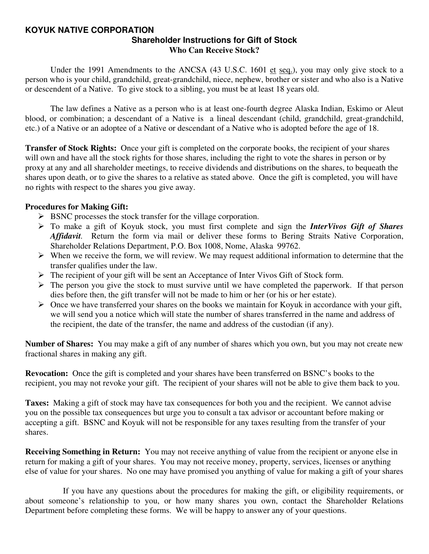#### **KOYUK NATIVE CORPORATION Shareholder Instructions for Gift of Stock Who Can Receive Stock?**

Under the 1991 Amendments to the ANCSA (43 U.S.C. 1601 et seq.), you may only give stock to a person who is your child, grandchild, great-grandchild, niece, nephew, brother or sister and who also is a Native or descendent of a Native. To give stock to a sibling, you must be at least 18 years old.

 The law defines a Native as a person who is at least one-fourth degree Alaska Indian, Eskimo or Aleut blood, or combination; a descendant of a Native is a lineal descendant (child, grandchild, great-grandchild, etc.) of a Native or an adoptee of a Native or descendant of a Native who is adopted before the age of 18.

**Transfer of Stock Rights:** Once your gift is completed on the corporate books, the recipient of your shares will own and have all the stock rights for those shares, including the right to vote the shares in person or by proxy at any and all shareholder meetings, to receive dividends and distributions on the shares, to bequeath the shares upon death, or to give the shares to a relative as stated above. Once the gift is completed, you will have no rights with respect to the shares you give away.

#### **Procedures for Making Gift:**

- $\triangleright$  BSNC processes the stock transfer for the village corporation.
- ¾ To make a gift of Koyuk stock, you must first complete and sign the *InterVivos Gift of Shares Affidavit.* Return the form via mail or deliver these forms to Bering Straits Native Corporation, Shareholder Relations Department, P.O. Box 1008, Nome, Alaska 99762.
- $\triangleright$  When we receive the form, we will review. We may request additional information to determine that the transfer qualifies under the law.
- ¾ The recipient of your gift will be sent an Acceptance of Inter Vivos Gift of Stock form.
- $\triangleright$  The person you give the stock to must survive until we have completed the paperwork. If that person dies before then, the gift transfer will not be made to him or her (or his or her estate).
- $\triangleright$  Once we have transferred your shares on the books we maintain for Koyuk in accordance with your gift, we will send you a notice which will state the number of shares transferred in the name and address of the recipient, the date of the transfer, the name and address of the custodian (if any).

**Number of Shares:** You may make a gift of any number of shares which you own, but you may not create new fractional shares in making any gift.

**Revocation:** Once the gift is completed and your shares have been transferred on BSNC's books to the recipient, you may not revoke your gift. The recipient of your shares will not be able to give them back to you.

**Taxes:** Making a gift of stock may have tax consequences for both you and the recipient. We cannot advise you on the possible tax consequences but urge you to consult a tax advisor or accountant before making or accepting a gift. BSNC and Koyuk will not be responsible for any taxes resulting from the transfer of your shares.

**Receiving Something in Return:** You may not receive anything of value from the recipient or anyone else in return for making a gift of your shares. You may not receive money, property, services, licenses or anything else of value for your shares. No one may have promised you anything of value for making a gift of your shares

 If you have any questions about the procedures for making the gift, or eligibility requirements, or about someone's relationship to you, or how many shares you own, contact the Shareholder Relations Department before completing these forms. We will be happy to answer any of your questions.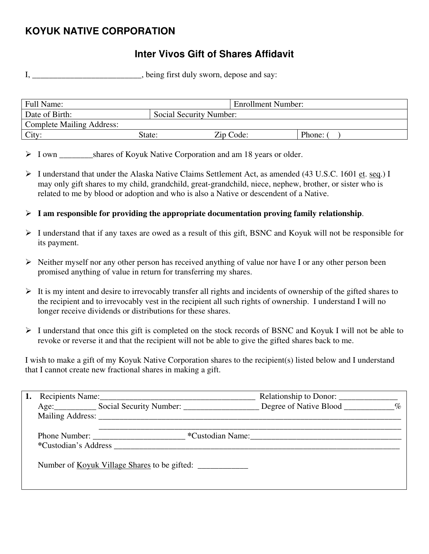# **KOYUK NATIVE CORPORATION**

# **Inter Vivos Gift of Shares Affidavit**

I, \_\_\_\_\_\_\_\_\_\_\_\_\_\_\_\_\_\_\_\_\_\_, being first duly sworn, depose and say:

| Full Name:                       |                         | <b>Enrollment Number:</b> |        |
|----------------------------------|-------------------------|---------------------------|--------|
| Date of Birth:                   | Social Security Number: |                           |        |
| <b>Complete Mailing Address:</b> |                         |                           |        |
| City:                            | State:                  | Zip Code:                 | Phone: |

> I own shares of Koyuk Native Corporation and am 18 years or older.

- ¾ I understand that under the Alaska Native Claims Settlement Act, as amended (43 U.S.C. 1601 et. seq.) I may only gift shares to my child, grandchild, great-grandchild, niece, nephew, brother, or sister who is related to me by blood or adoption and who is also a Native or descendent of a Native.
- $\triangleright$  **I** am responsible for providing the appropriate documentation proving family relationship.
- ¾ I understand that if any taxes are owed as a result of this gift, BSNC and Koyuk will not be responsible for its payment.
- $\triangleright$  Neither myself nor any other person has received anything of value nor have I or any other person been promised anything of value in return for transferring my shares.
- $\triangleright$  It is my intent and desire to irrevocably transfer all rights and incidents of ownership of the gifted shares to the recipient and to irrevocably vest in the recipient all such rights of ownership. I understand I will no longer receive dividends or distributions for these shares.
- ¾ I understand that once this gift is completed on the stock records of BSNC and Koyuk I will not be able to revoke or reverse it and that the recipient will not be able to give the gifted shares back to me.

I wish to make a gift of my Koyuk Native Corporation shares to the recipient(s) listed below and I understand that I cannot create new fractional shares in making a gift.

|  | Recipients Name:                                                | Relationship to Donor: |  |
|--|-----------------------------------------------------------------|------------------------|--|
|  | Age: Social Security Number: Degree of Native Blood _________ % |                        |  |
|  | Mailing Address: New York 1988.                                 |                        |  |
|  | *Custodian's Address <b>matrices</b>                            | *Custodian Name:       |  |
|  | Number of <u>Koyuk Village Shares</u> to be gifted:             |                        |  |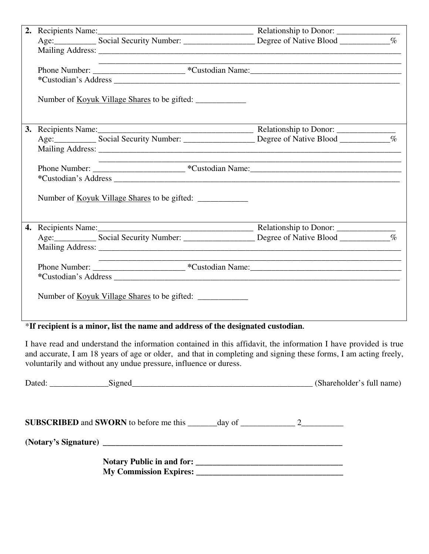|  | the control of the control of the control of the control of the control of                                                                                                                                                     |  |
|--|--------------------------------------------------------------------------------------------------------------------------------------------------------------------------------------------------------------------------------|--|
|  |                                                                                                                                                                                                                                |  |
|  |                                                                                                                                                                                                                                |  |
|  | Number of <u>Koyuk Village Shares</u> to be gifted:                                                                                                                                                                            |  |
|  |                                                                                                                                                                                                                                |  |
|  |                                                                                                                                                                                                                                |  |
|  |                                                                                                                                                                                                                                |  |
|  |                                                                                                                                                                                                                                |  |
|  |                                                                                                                                                                                                                                |  |
|  |                                                                                                                                                                                                                                |  |
|  |                                                                                                                                                                                                                                |  |
|  |                                                                                                                                                                                                                                |  |
|  |                                                                                                                                                                                                                                |  |
|  |                                                                                                                                                                                                                                |  |
|  |                                                                                                                                                                                                                                |  |
|  | *Custodian's Address experience and the set of the set of the set of the set of the set of the set of the set of the set of the set of the set of the set of the set of the set of the set of the set of the set of the set of |  |
|  |                                                                                                                                                                                                                                |  |
|  | Number of <u>Koyuk Village Shares</u> to be gifted:                                                                                                                                                                            |  |
|  |                                                                                                                                                                                                                                |  |
|  |                                                                                                                                                                                                                                |  |

# \***If recipient is a minor, list the name and address of the designated custodian.**

I have read and understand the information contained in this affidavit, the information I have provided is true and accurate, I am 18 years of age or older, and that in completing and signing these forms, I am acting freely, voluntarily and without any undue pressure, influence or duress.

| Dated: Signed Signed Signed Signed Signed States and States and States and States and States and States and States and States and States and States and States and States and States and States and States and States and Stat |  | (Shareholder's full name) |
|--------------------------------------------------------------------------------------------------------------------------------------------------------------------------------------------------------------------------------|--|---------------------------|
|                                                                                                                                                                                                                                |  |                           |
| (Notary's Signature) has a series of the series of the series of the series of the series of the series of the series of the series of the series of the series of the series of the series of the series of the series of the |  |                           |
| My Commission Expires: 2008. The Commission Expires: 2008. The Commission Expires: 2008. The Commission Expires: 2008. The Commission Expires: 2008. The Commission Expires: 2008. The Commission Expires: 2008. The Commissio |  |                           |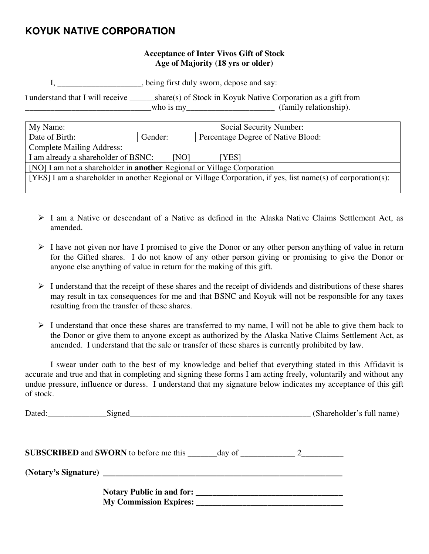## **KOYUK NATIVE CORPORATION**

#### **Acceptance of Inter Vivos Gift of Stock Age of Majority (18 yrs or older)**

I, \_\_\_\_\_\_\_\_\_\_\_\_\_\_\_\_\_\_\_\_, being first duly sworn, depose and say:

I understand that I will receive \_\_\_\_\_\_share(s) of Stock in Koyuk Native Corporation as a gift from \_\_\_\_\_\_\_\_\_\_\_\_\_\_\_\_\_\_\_\_\_\_\_\_\_\_\_\_\_\_who is my\_\_\_\_\_\_\_\_\_\_\_\_\_\_\_\_\_\_\_\_\_ (family relationship).

| My Name:                                                                                                     | Social Security Number: |                                    |  |
|--------------------------------------------------------------------------------------------------------------|-------------------------|------------------------------------|--|
| Date of Birth:                                                                                               | Gender:                 | Percentage Degree of Native Blood: |  |
| <b>Complete Mailing Address:</b>                                                                             |                         |                                    |  |
| I am already a shareholder of BSNC:<br>[NO]<br>[YES]                                                         |                         |                                    |  |
| [NO] I am not a shareholder in <b>another</b> Regional or Village Corporation                                |                         |                                    |  |
| [YES] I am a shareholder in another Regional or Village Corporation, if yes, list name(s) of corporation(s): |                         |                                    |  |
|                                                                                                              |                         |                                    |  |

- $\geq 1$  am a Native or descendant of a Native as defined in the Alaska Native Claims Settlement Act, as amended.
- $\triangleright$  I have not given nor have I promised to give the Donor or any other person anything of value in return for the Gifted shares. I do not know of any other person giving or promising to give the Donor or anyone else anything of value in return for the making of this gift.
- $\triangleright$  I understand that the receipt of these shares and the receipt of dividends and distributions of these shares may result in tax consequences for me and that BSNC and Koyuk will not be responsible for any taxes resulting from the transfer of these shares.
- $\triangleright$  I understand that once these shares are transferred to my name, I will not be able to give them back to the Donor or give them to anyone except as authorized by the Alaska Native Claims Settlement Act, as amended. I understand that the sale or transfer of these shares is currently prohibited by law.

 I swear under oath to the best of my knowledge and belief that everything stated in this Affidavit is accurate and true and that in completing and signing these forms I am acting freely, voluntarily and without any undue pressure, influence or duress. I understand that my signature below indicates my acceptance of this gift of stock.

|  | (Shareholder's full name) |
|--|---------------------------|
|  |                           |
|  |                           |
|  |                           |